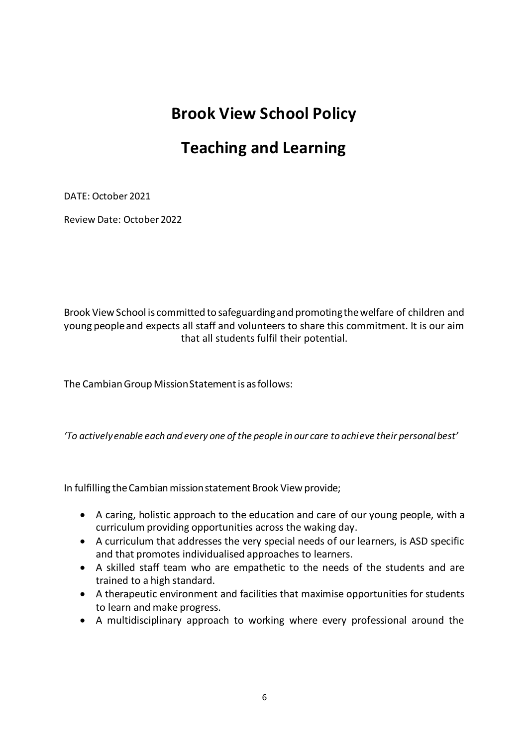# **Brook View School Policy**

# **Teaching and Learning**

DATE: October 2021

Review Date: October 2022

Brook View School is committed to safeguarding and promoting the welfare of children and young people and expects all staff and volunteers to share this commitment. It is our aim that all students fulfil their potential.

The Cambian Group Mission Statement is as follows:

*'To actively enable each and every one of the people in our care to achieve their personal best'*

In fulfilling the Cambian mission statement Brook View provide;

- A caring, holistic approach to the education and care of our young people, with a curriculum providing opportunities across the waking day.
- A curriculum that addresses the very special needs of our learners, is ASD specific and that promotes individualised approaches to learners.
- A skilled staff team who are empathetic to the needs of the students and are trained to a high standard.
- A therapeutic environment and facilities that maximise opportunities for students to learn and make progress.
- A multidisciplinary approach to working where every professional around the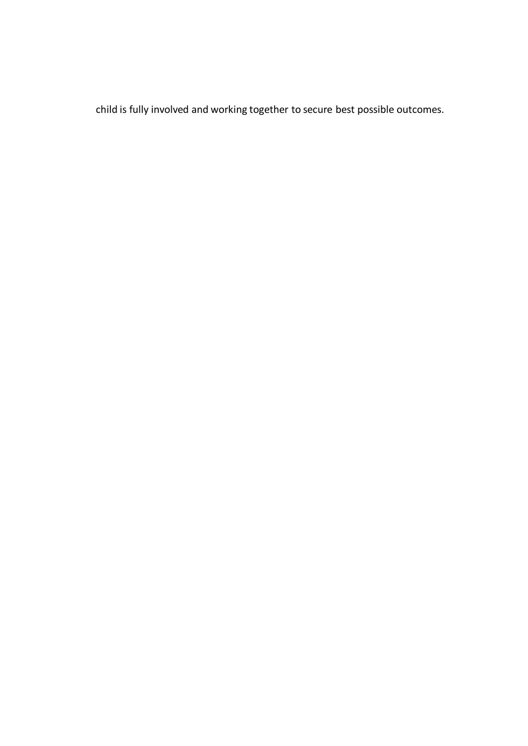child is fully involved and working together to secure best possible outcomes.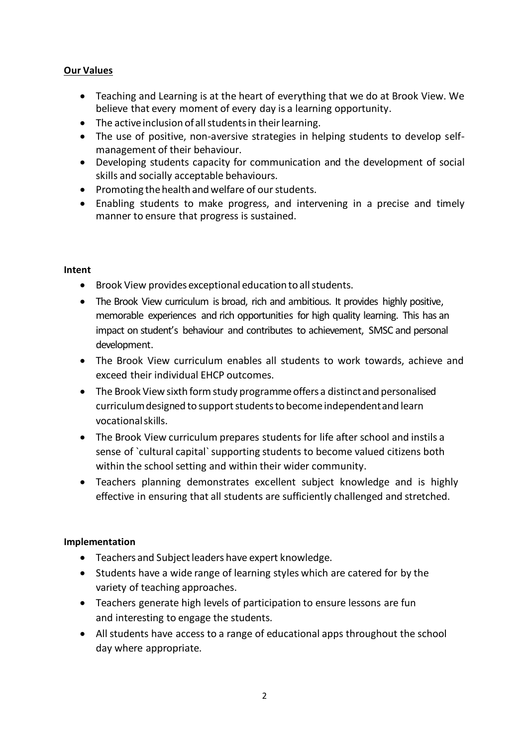## **Our Values**

- Teaching and Learning is at the heart of everything that we do at Brook View. We believe that every moment of every day is a learning opportunity.
- The active inclusion of all students in their learning.
- The use of positive, non-aversive strategies in helping students to develop selfmanagement of their behaviour.
- Developing students capacity for communication and the development of social skills and socially acceptable behaviours.
- Promoting the health and welfare of our students.
- Enabling students to make progress, and intervening in a precise and timely manner to ensure that progress is sustained.

#### **Intent**

- Brook View provides exceptional education to all students.
- The Brook View curriculum is broad, rich and ambitious. It provides highly positive, memorable experiences and rich opportunities for high quality learning. This has an impact on student's behaviour and contributes to achievement, SMSC and personal development.
- The Brook View curriculum enables all students to work towards, achieve and exceed their individual EHCP outcomes.
- The Brook View sixth form study programme offers a distinct and personalised curriculum designed to support students to become independent and learn vocational skills.
- The Brook View curriculum prepares students for life after school and instils a sense of `cultural capital` supporting students to become valued citizens both within the school setting and within their wider community.
- Teachers planning demonstrates excellent subject knowledge and is highly effective in ensuring that all students are sufficiently challenged and stretched.

#### **Implementation**

- Teachers and Subject leaders have expert knowledge.
- Students have a wide range of learning styles which are catered for by the variety of teaching approaches.
- Teachers generate high levels of participation to ensure lessons are fun and interesting to engage the students.
- All students have access to a range of educational apps throughout the school day where appropriate.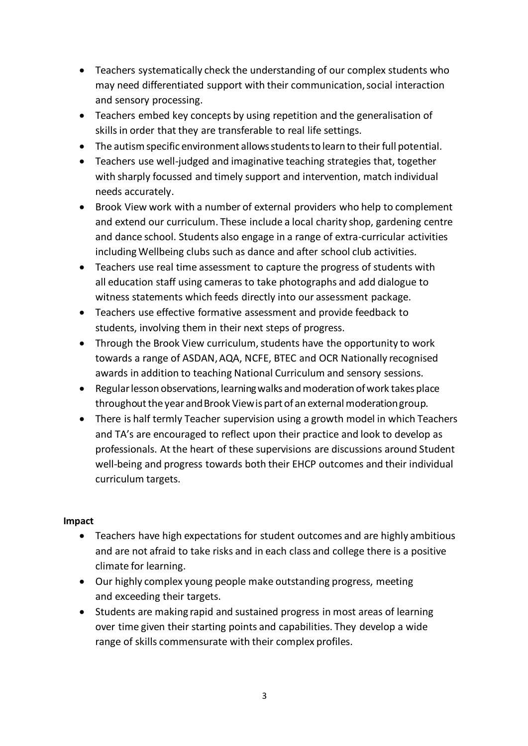- Teachers systematically check the understanding of our complex students who may need differentiated support with their communication, social interaction and sensory processing.
- Teachers embed key concepts by using repetition and the generalisation of skills in order that they are transferable to real life settings.
- The autism specific environment allows students to learn to their full potential.
- Teachers use well-judged and imaginative teaching strategies that, together with sharply focussed and timely support and intervention, match individual needs accurately.
- Brook View work with a number of external providers who help to complement and extend our curriculum. These include a local charity shop, gardening centre and dance school. Students also engage in a range of extra-curricular activities including Wellbeing clubs such as dance and after school club activities.
- Teachers use real time assessment to capture the progress of students with all education staff using cameras to take photographs and add dialogue to witness statements which feeds directly into our assessment package.
- Teachers use effective formative assessment and provide feedback to students, involving them in their next steps of progress.
- Through the Brook View curriculum, students have the opportunity to work towards a range of ASDAN, AQA, NCFE, BTEC and OCR Nationally recognised awards in addition to teaching National Curriculum and sensory sessions.
- Regular lesson observations, learning walks and moderation of work takes place throughout the year and Brook View is part of an external moderation group.
- There is half termly Teacher supervision using a growth model in which Teachers and TA's are encouraged to reflect upon their practice and look to develop as professionals. At the heart of these supervisions are discussions around Student well-being and progress towards both their EHCP outcomes and their individual curriculum targets.

# **Impact**

- Teachers have high expectations for student outcomes and are highly ambitious and are not afraid to take risks and in each class and college there is a positive climate for learning.
- Our highly complex young people make outstanding progress, meeting and exceeding their targets.
- Students are making rapid and sustained progress in most areas of learning over time given their starting points and capabilities. They develop a wide range of skills commensurate with their complex profiles.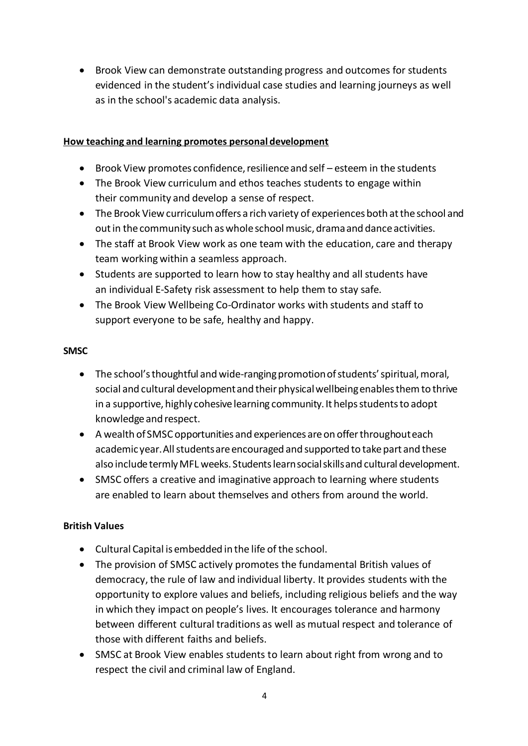Brook View can demonstrate outstanding progress and outcomes for students evidenced in the student's individual case studies and learning journeys as well as in the school's academic data analysis.

## **How teaching and learning promotes personal development**

- Brook View promotes confidence, resilience and self esteem in the students
- The Brook View curriculum and ethos teaches students to engage within their community and develop a sense of respect.
- The Brook View curriculum offers a rich variety of experiences both at the school and out in the community such as whole school music, drama and dance activities.
- The staff at Brook View work as one team with the education, care and therapy team working within a seamless approach.
- Students are supported to learn how to stay healthy and all students have an individual E-Safety risk assessment to help them to stay safe.
- The Brook View Wellbeing Co-Ordinator works with students and staff to support everyone to be safe, healthy and happy.

## **SMSC**

- The school's thoughtful and wide-ranging promotion of students' spiritual, moral, social and cultural development and their physical wellbeing enables them to thrive in a supportive, highly cohesive learning community. It helps students to adopt knowledge and respect.
- A wealth of SMSC opportunities and experiences are on offer throughout each academic year. All students are encouraged and supported to take part and these also include termly MFL weeks. Students learn social skills and cultural development.
- SMSC offers a creative and imaginative approach to learning where students are enabled to learn about themselves and others from around the world.

# **British Values**

- Cultural Capital is embedded in the life of the school.
- The provision of SMSC actively promotes the fundamental British values of democracy, the rule of law and individual liberty. It provides students with the opportunity to explore values and beliefs, including religious beliefs and the way in which they impact on people's lives. It encourages tolerance and harmony between different cultural traditions as well as mutual respect and tolerance of those with different faiths and beliefs.
- SMSC at Brook View enables students to learn about right from wrong and to respect the civil and criminal law of England.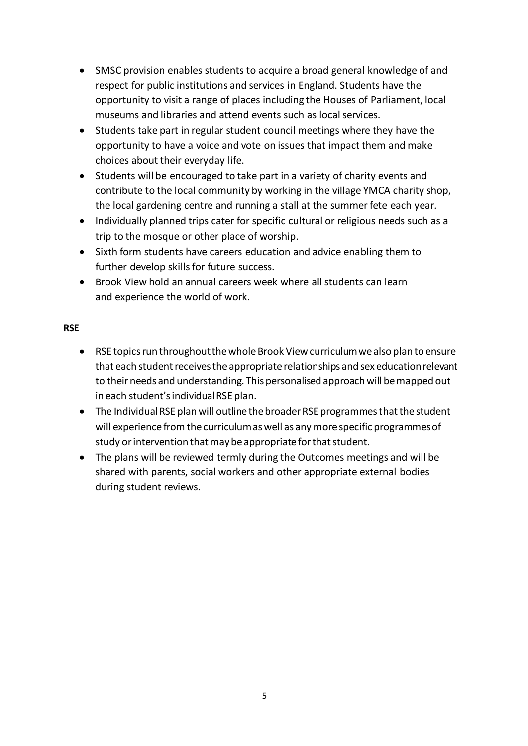- SMSC provision enables students to acquire a broad general knowledge of and respect for public institutions and services in England. Students have the opportunity to visit a range of places including the Houses of Parliament, local museums and libraries and attend events such as local services.
- Students take part in regular student council meetings where they have the opportunity to have a voice and vote on issues that impact them and make choices about their everyday life.
- Students will be encouraged to take part in a variety of charity events and contribute to the local community by working in the village YMCA charity shop, the local gardening centre and running a stall at the summer fete each year.
- Individually planned trips cater for specific cultural or religious needs such as a trip to the mosque or other place of worship.
- Sixth form students have careers education and advice enabling them to further develop skills for future success.
- Brook View hold an annual careers week where all students can learn and experience the world of work.

## **RSE**

- RSE topics run throughout the whole Brook View curriculum we also plan to ensure that each student receives the appropriate relationships and sex education relevant to their needs and understanding. This personalised approach will be mapped out in each student's individual RSE plan.
- The Individual RSE plan will outline the broader RSE programmes that the student will experience from the curriculum as well as any more specific programmes of study or intervention that may be appropriate for that student.
- The plans will be reviewed termly during the Outcomes meetings and will be shared with parents, social workers and other appropriate external bodies during student reviews.